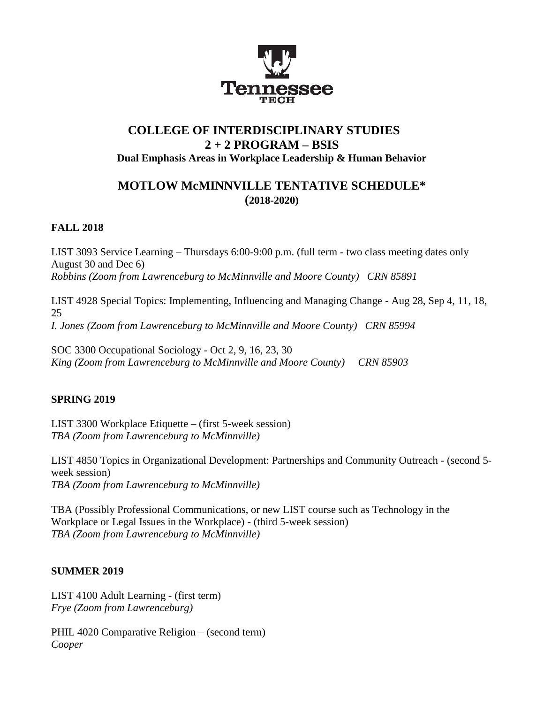

# **COLLEGE OF INTERDISCIPLINARY STUDIES 2 + 2 PROGRAM – BSIS Dual Emphasis Areas in Workplace Leadership & Human Behavior**

# **MOTLOW McMINNVILLE TENTATIVE SCHEDULE\* (2018-2020)**

### **FALL 2018**

LIST 3093 Service Learning – Thursdays 6:00-9:00 p.m. (full term - two class meeting dates only August 30 and Dec 6) *Robbins (Zoom from Lawrenceburg to McMinnville and Moore County) CRN 85891*

LIST 4928 Special Topics: Implementing, Influencing and Managing Change - Aug 28, Sep 4, 11, 18, 25 *I. Jones (Zoom from Lawrenceburg to McMinnville and Moore County) CRN 85994*

SOC 3300 Occupational Sociology - Oct 2, 9, 16, 23, 30 *King (Zoom from Lawrenceburg to McMinnville and Moore County) CRN 85903*

### **SPRING 2019**

LIST 3300 Workplace Etiquette – (first 5-week session) *TBA (Zoom from Lawrenceburg to McMinnville)*

LIST 4850 Topics in Organizational Development: Partnerships and Community Outreach - (second 5 week session) *TBA (Zoom from Lawrenceburg to McMinnville)*

TBA (Possibly Professional Communications, or new LIST course such as Technology in the Workplace or Legal Issues in the Workplace) - (third 5-week session) *TBA (Zoom from Lawrenceburg to McMinnville)*

### **SUMMER 2019**

LIST 4100 Adult Learning - (first term) *Frye (Zoom from Lawrenceburg)*

PHIL 4020 Comparative Religion – (second term) *Cooper*